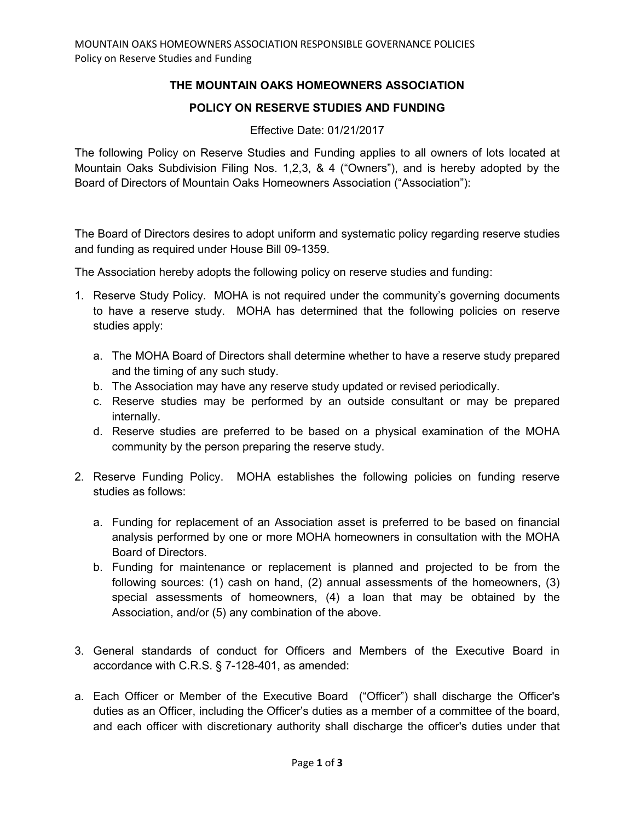## **THE MOUNTAIN OAKS HOMEOWNERS ASSOCIATION**

## **POLICY ON RESERVE STUDIES AND FUNDING**

## Effective Date: 01/21/2017

The following Policy on Reserve Studies and Funding applies to all owners of lots located at Mountain Oaks Subdivision Filing Nos. 1,2,3, & 4 ("Owners"), and is hereby adopted by the Board of Directors of Mountain Oaks Homeowners Association ("Association"):

The Board of Directors desires to adopt uniform and systematic policy regarding reserve studies and funding as required under House Bill 09-1359.

The Association hereby adopts the following policy on reserve studies and funding:

- 1. Reserve Study Policy. MOHA is not required under the community's governing documents to have a reserve study. MOHA has determined that the following policies on reserve studies apply:
	- a. The MOHA Board of Directors shall determine whether to have a reserve study prepared and the timing of any such study.
	- b. The Association may have any reserve study updated or revised periodically.
	- c. Reserve studies may be performed by an outside consultant or may be prepared internally.
	- d. Reserve studies are preferred to be based on a physical examination of the MOHA community by the person preparing the reserve study.
- 2. Reserve Funding Policy. MOHA establishes the following policies on funding reserve studies as follows:
	- a. Funding for replacement of an Association asset is preferred to be based on financial analysis performed by one or more MOHA homeowners in consultation with the MOHA Board of Directors.
	- b. Funding for maintenance or replacement is planned and projected to be from the following sources: (1) cash on hand, (2) annual assessments of the homeowners, (3) special assessments of homeowners, (4) a loan that may be obtained by the Association, and/or (5) any combination of the above.
- 3. General standards of conduct for Officers and Members of the Executive Board in accordance with C.R.S. § 7-128-401, as amended:
- a. Each Officer or Member of the Executive Board ("Officer") shall discharge the Officer's duties as an Officer, including the Officer's duties as a member of a committee of the board, and each officer with discretionary authority shall discharge the officer's duties under that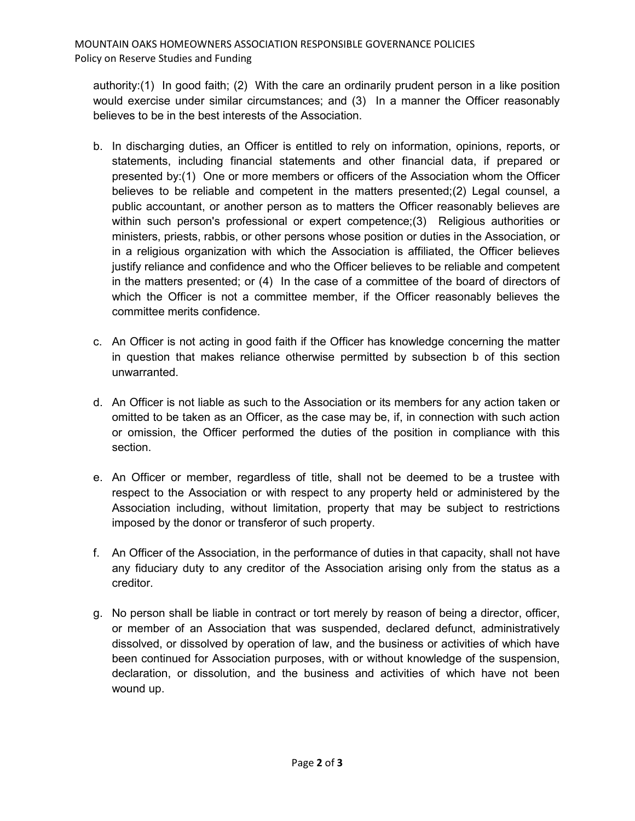authority:(1) In good faith; (2) With the care an ordinarily prudent person in a like position would exercise under similar circumstances; and (3) In a manner the Officer reasonably believes to be in the best interests of the Association.

- b. In discharging duties, an Officer is entitled to rely on information, opinions, reports, or statements, including financial statements and other financial data, if prepared or presented by:(1) One or more members or officers of the Association whom the Officer believes to be reliable and competent in the matters presented;(2) Legal counsel, a public accountant, or another person as to matters the Officer reasonably believes are within such person's professional or expert competence;(3) Religious authorities or ministers, priests, rabbis, or other persons whose position or duties in the Association, or in a religious organization with which the Association is affiliated, the Officer believes justify reliance and confidence and who the Officer believes to be reliable and competent in the matters presented; or (4) In the case of a committee of the board of directors of which the Officer is not a committee member, if the Officer reasonably believes the committee merits confidence.
- c. An Officer is not acting in good faith if the Officer has knowledge concerning the matter in question that makes reliance otherwise permitted by subsection b of this section unwarranted.
- d. An Officer is not liable as such to the Association or its members for any action taken or omitted to be taken as an Officer, as the case may be, if, in connection with such action or omission, the Officer performed the duties of the position in compliance with this section.
- e. An Officer or member, regardless of title, shall not be deemed to be a trustee with respect to the Association or with respect to any property held or administered by the Association including, without limitation, property that may be subject to restrictions imposed by the donor or transferor of such property.
- f. An Officer of the Association, in the performance of duties in that capacity, shall not have any fiduciary duty to any creditor of the Association arising only from the status as a creditor.
- g. No person shall be liable in contract or tort merely by reason of being a director, officer, or member of an Association that was suspended, declared defunct, administratively dissolved, or dissolved by operation of law, and the business or activities of which have been continued for Association purposes, with or without knowledge of the suspension, declaration, or dissolution, and the business and activities of which have not been wound up.